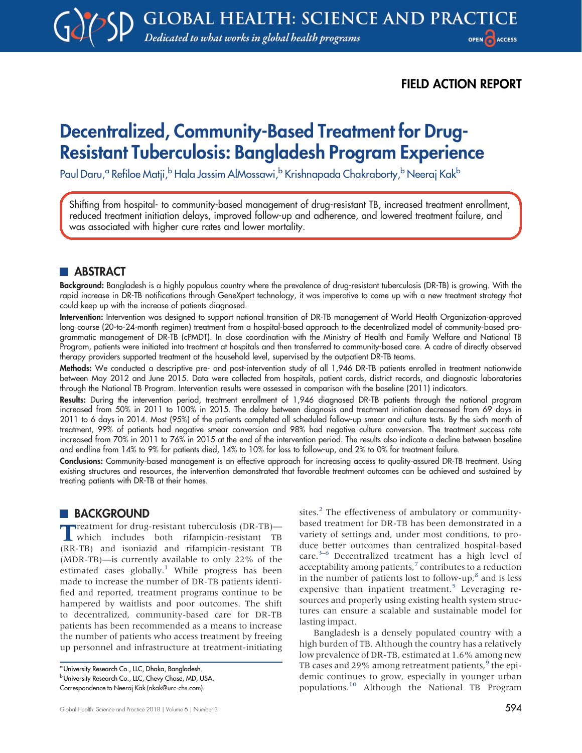FIELD ACTION REPORT

# Decentralized, Community-Based Treatment for Drug-Resistant Tuberculosis: Bangladesh Program Experience

Paul Daru,<sup>a</sup> Refiloe Matji,<sup>b</sup> Hala Jassim AlMossawi,<sup>b</sup> Krishnapada Chakraborty,<sup>b</sup> Neeraj Kak<sup>b</sup>

Shifting from hospital- to community-based management of drug-resistant TB, increased treatment enrollment, reduced treatment initiation delays, improved follow-up and adherence, and lowered treatment failure, and was associated with higher cure rates and lower mortality.

### **ABSTRACT**

Background: Bangladesh is a highly populous country where the prevalence of drug-resistant tuberculosis (DR-TB) is growing. With the rapid increase in DR-TB notifications through GeneXpert technology, it was imperative to come up with a new treatment strategy that could keep up with the increase of patients diagnosed.

Intervention: Intervention was designed to support national transition of DR-TB management of World Health Organization-approved long course (20-to-24-month regimen) treatment from a hospital-based approach to the decentralized model of community-based programmatic management of DR-TB (cPMDT). In close coordination with the Ministry of Health and Family Welfare and National TB Program, patients were initiated into treatment at hospitals and then transferred to community-based care. A cadre of directly observed therapy providers supported treatment at the household level, supervised by the outpatient DR-TB teams.

Methods: We conducted a descriptive pre- and post-intervention study of all 1,946 DR-TB patients enrolled in treatment nationwide between May 2012 and June 2015. Data were collected from hospitals, patient cards, district records, and diagnostic laboratories through the National TB Program. Intervention results were assessed in comparison with the baseline (2011) indicators.

Results: During the intervention period, treatment enrollment of 1,946 diagnosed DR-TB patients through the national program increased from 50% in 2011 to 100% in 2015. The delay between diagnosis and treatment initiation decreased from 69 days in 2011 to 6 days in 2014. Most (95%) of the patients completed all scheduled follow-up smear and culture tests. By the sixth month of treatment, 99% of patients had negative smear conversion and 98% had negative culture conversion. The treatment success rate increased from 70% in 2011 to 76% in 2015 at the end of the intervention period. The results also indicate a decline between baseline and endline from 14% to 9% for patients died, 14% to 10% for loss to follow-up, and 2% to 0% for treatment failure.

Conclusions: Community-based management is an effective approach for increasing access to quality-assured DR-TB treatment. Using existing structures and resources, the intervention demonstrated that favorable treatment outcomes can be achieved and sustained by treating patients with DR-TB at their homes.

### **BACKGROUND**

Treatment for drug-resistant tuberculosis (DR-TB)— which includes both rifampicin-resistant TB (RR-TB) and isoniazid and rifampicin-resistant TB (MDR-TB)—is currently available to only 22% of the estimated cases globally.<sup>[1](#page-7-0)</sup> While progress has been made to increase the number of DR-TB patients identified and reported, treatment programs continue to be hampered by waitlists and poor outcomes. The shift to decentralized, community-based care for DR-TB patients has been recommended as a means to increase the number of patients who access treatment by freeing up personnel and infrastructure at treatment-initiating sites.<sup>[2](#page-7-1)</sup> The effectiveness of ambulatory or communitybased treatment for DR-TB has been demonstrated in a variety of settings and, under most conditions, to produce better outcomes than centralized hospital-based care.<sup>[3](#page-7-2)-[6](#page-7-3)</sup> Decentralized treatment has a high level of acceptability among patients,<sup>7</sup> contributes to a reduction in the number of patients lost to follow-up, $^8$  $^8$  and is less expensive than inpatient treatment.<sup>[5](#page-7-6)</sup> Leveraging resources and properly using existing health system structures can ensure a scalable and sustainable model for lasting impact.

Bangladesh is a densely populated country with a high burden of TB. Although the country has a relatively low prevalence of DR-TB, estimated at 1.6% among new TB cases and 2[9](#page-7-7)% among retreatment patients,<sup>9</sup> the epidemic continues to grow, especially in younger urban populations.[10](#page-8-0) Although the National TB Program

<sup>&</sup>lt;sup>a</sup>University Research Co., LLC, Dhaka, Bangladesh.

b University Research Co., LLC, Chevy Chase, MD, USA.

Correspondence to Neeraj Kak ([nkak@urc-chs.com](mailto:nkak@urc-chs.com)).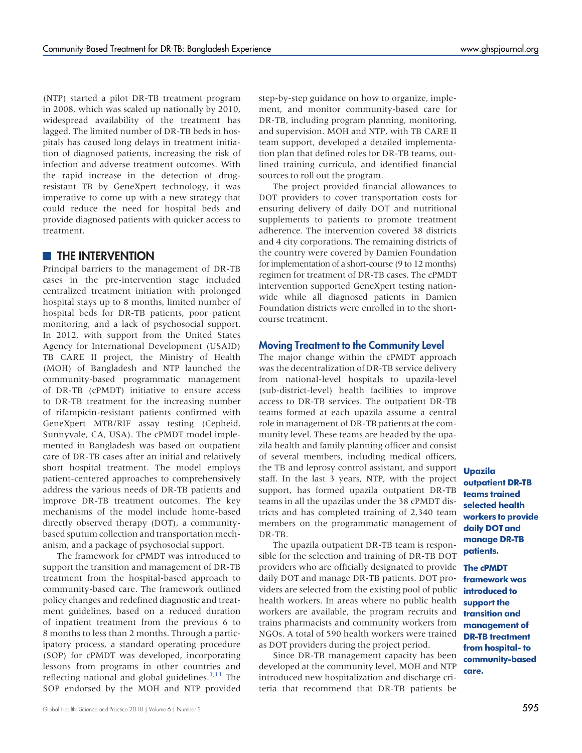(NTP) started a pilot DR-TB treatment program in 2008, which was scaled up nationally by 2010, widespread availability of the treatment has lagged. The limited number of DR-TB beds in hospitals has caused long delays in treatment initiation of diagnosed patients, increasing the risk of infection and adverse treatment outcomes. With the rapid increase in the detection of drugresistant TB by GeneXpert technology, it was imperative to come up with a new strategy that could reduce the need for hospital beds and provide diagnosed patients with quicker access to treatment.

### **THE INTERVENTION**

Principal barriers to the management of DR-TB cases in the pre-intervention stage included centralized treatment initiation with prolonged hospital stays up to 8 months, limited number of hospital beds for DR-TB patients, poor patient monitoring, and a lack of psychosocial support. In 2012, with support from the United States Agency for International Development (USAID) TB CARE II project, the Ministry of Health (MOH) of Bangladesh and NTP launched the community-based programmatic management of DR-TB (cPMDT) initiative to ensure access to DR-TB treatment for the increasing number of rifampicin-resistant patients confirmed with GeneXpert MTB/RIF assay testing (Cepheid, Sunnyvale, CA, USA). The cPMDT model implemented in Bangladesh was based on outpatient care of DR-TB cases after an initial and relatively short hospital treatment. The model employs patient-centered approaches to comprehensively address the various needs of DR-TB patients and improve DR-TB treatment outcomes. The key mechanisms of the model include home-based directly observed therapy (DOT), a communitybased sputum collection and transportation mechanism, and a package of psychosocial support.

The framework for cPMDT was introduced to support the transition and management of DR-TB treatment from the hospital-based approach to community-based care. The framework outlined policy changes and redefined diagnostic and treatment guidelines, based on a reduced duration of inpatient treatment from the previous 6 to 8 months to less than 2 months. Through a participatory process, a standard operating procedure (SOP) for cPMDT was developed, incorporating lessons from programs in other countries and reflecting national and global guidelines. $1,11$  $1,11$  The SOP endorsed by the MOH and NTP provided

step-by-step guidance on how to organize, implement, and monitor community-based care for DR-TB, including program planning, monitoring, and supervision. MOH and NTP, with TB CARE II team support, developed a detailed implementation plan that defined roles for DR-TB teams, outlined training curricula, and identified financial sources to roll out the program.

The project provided financial allowances to DOT providers to cover transportation costs for ensuring delivery of daily DOT and nutritional supplements to patients to promote treatment adherence. The intervention covered 38 districts and 4 city corporations. The remaining districts of the country were covered by Damien Foundation for implementation of a short-course (9 to 12 months) regimen for treatment of DR-TB cases. The cPMDT intervention supported GeneXpert testing nationwide while all diagnosed patients in Damien Foundation districts were enrolled in to the shortcourse treatment.

### Moving Treatment to the Community Level

The major change within the cPMDT approach was the decentralization of DR-TB service delivery from national-level hospitals to upazila-level (sub-district-level) health facilities to improve access to DR-TB services. The outpatient DR-TB teams formed at each upazila assume a central role in management of DR-TB patients at the community level. These teams are headed by the upazila health and family planning officer and consist of several members, including medical officers, the TB and leprosy control assistant, and support staff. In the last 3 years, NTP, with the project support, has formed upazila outpatient DR-TB teams in all the upazilas under the 38 cPMDT districts and has completed training of 2,340 team members on the programmatic management of DR-TB.

The upazila outpatient DR-TB team is responsible for the selection and training of DR-TB DOT providers who are officially designated to provide **The cPMDT** daily DOT and manage DR-TB patients. DOT providers are selected from the existing pool of public health workers. In areas where no public health workers are available, the program recruits and trains pharmacists and community workers from NGOs. A total of 590 health workers were trained as DOT providers during the project period.

Since DR-TB management capacity has been developed at the community level, MOH and NTP introduced new hospitalization and discharge criteria that recommend that DR-TB patients be

Upazila outpatient DR-TB teams trained selected health workers to provide daily DOT and manage DR-TB patients.

framework was introduced to support the transition and management of DR-TB treatment from hospital- to community-based care.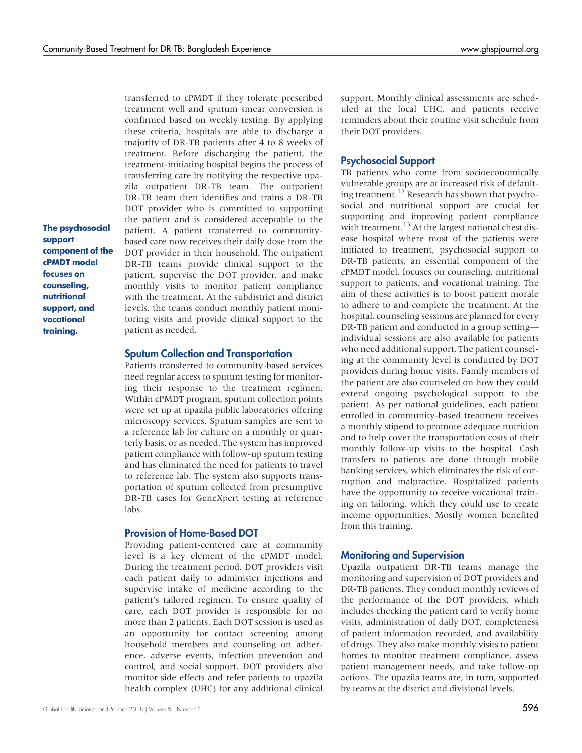The psychosocial support component of the cPMDT model focuses on counseling, nutritional support, and vocational training.

transferred to cPMDT if they tolerate prescribed treatment well and sputum smear conversion is confirmed based on weekly testing. By applying these criteria, hospitals are able to discharge a majority of DR-TB patients after 4 to 8 weeks of treatment. Before discharging the patient, the treatment-initiating hospital begins the process of transferring care by notifying the respective upazila outpatient DR-TB team. The outpatient DR-TB team then identifies and trains a DR-TB DOT provider who is committed to supporting the patient and is considered acceptable to the patient. A patient transferred to communitybased care now receives their daily dose from the DOT provider in their household. The outpatient DR-TB teams provide clinical support to the patient, supervise the DOT provider, and make monthly visits to monitor patient compliance with the treatment. At the subdistrict and district levels, the teams conduct monthly patient monitoring visits and provide clinical support to the patient as needed.

#### Sputum Collection and Transportation

Patients transferred to community-based services need regular access to sputum testing for monitoring their response to the treatment regimen. Within cPMDT program, sputum collection points were set up at upazila public laboratories offering microscopy services. Sputum samples are sent to a reference lab for culture on a monthly or quarterly basis, or as needed. The system has improved patient compliance with follow-up sputum testing and has eliminated the need for patients to travel to reference lab. The system also supports transportation of sputum collected from presumptive DR-TB cases for GeneXpert testing at reference labs.

### Provision of Home-Based DOT

Providing patient-centered care at community level is a key element of the cPMDT model. During the treatment period, DOT providers visit each patient daily to administer injections and supervise intake of medicine according to the patient's tailored regimen. To ensure quality of care, each DOT provider is responsible for no more than 2 patients. Each DOT session is used as an opportunity for contact screening among household members and counseling on adherence, adverse events, infection prevention and control, and social support. DOT providers also monitor side effects and refer patients to upazila health complex (UHC) for any additional clinical uled at the local UHC, and patients receive reminders about their routine visit schedule from their DOT providers.

#### Psychosocial Support

TB patients who come from socioeconomically vulnerable groups are at increased risk of default-ing treatment.<sup>[12](#page-8-2)</sup> Research has shown that psychosocial and nutritional support are crucial for supporting and improving patient compliance with treatment.<sup>[13](#page-8-3)</sup> At the largest national chest disease hospital where most of the patients were initiated to treatment, psychosocial support to DR-TB patients, an essential component of the cPMDT model, focuses on counseling, nutritional support to patients, and vocational training. The aim of these activities is to boost patient morale to adhere to and complete the treatment. At the hospital, counseling sessions are planned for every DR-TB patient and conducted in a group setting individual sessions are also available for patients who need additional support. The patient counseling at the community level is conducted by DOT providers during home visits. Family members of the patient are also counseled on how they could extend ongoing psychological support to the patient. As per national guidelines, each patient enrolled in community-based treatment receives a monthly stipend to promote adequate nutrition and to help cover the transportation costs of their monthly follow-up visits to the hospital. Cash transfers to patients are done through mobile banking services, which eliminates the risk of corruption and malpractice. Hospitalized patients have the opportunity to receive vocational training on tailoring, which they could use to create income opportunities. Mostly women benefited from this training.

### Monitoring and Supervision

Upazila outpatient DR-TB teams manage the monitoring and supervision of DOT providers and DR-TB patients. They conduct monthly reviews of the performance of the DOT providers, which includes checking the patient card to verify home visits, administration of daily DOT, completeness of patient information recorded, and availability of drugs. They also make monthly visits to patient homes to monitor treatment compliance, assess patient management needs, and take follow-up actions. The upazila teams are, in turn, supported by teams at the district and divisional levels.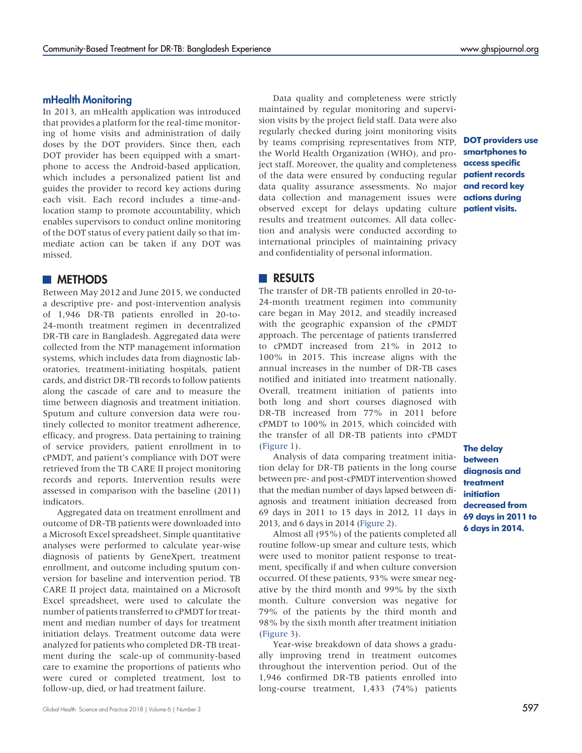### mHealth Monitoring

In 2013, an mHealth application was introduced that provides a platform for the real-time monitoring of home visits and administration of daily doses by the DOT providers. Since then, each DOT provider has been equipped with a smartphone to access the Android-based application, which includes a personalized patient list and guides the provider to record key actions during each visit. Each record includes a time-andlocation stamp to promote accountability, which enables supervisors to conduct online monitoring of the DOT status of every patient daily so that immediate action can be taken if any DOT was missed.

### **NETHODS**

Between May 2012 and June 2015, we conducted a descriptive pre- and post-intervention analysis of 1,946 DR-TB patients enrolled in 20-to-24-month treatment regimen in decentralized DR-TB care in Bangladesh. Aggregated data were collected from the NTP management information systems, which includes data from diagnostic laboratories, treatment-initiating hospitals, patient cards, and district DR-TB records to follow patients along the cascade of care and to measure the time between diagnosis and treatment initiation. Sputum and culture conversion data were routinely collected to monitor treatment adherence, efficacy, and progress. Data pertaining to training of service providers, patient enrollment in to cPMDT, and patient's compliance with DOT were retrieved from the TB CARE II project monitoring records and reports. Intervention results were assessed in comparison with the baseline (2011) indicators.

Aggregated data on treatment enrollment and outcome of DR-TB patients were downloaded into a Microsoft Excel spreadsheet. Simple quantitative analyses were performed to calculate year-wise diagnosis of patients by GeneXpert, treatment enrollment, and outcome including sputum conversion for baseline and intervention period. TB CARE II project data, maintained on a Microsoft Excel spreadsheet, were used to calculate the number of patients transferred to cPMDT for treatment and median number of days for treatment initiation delays. Treatment outcome data were analyzed for patients who completed DR-TB treatment during the scale-up of community-based care to examine the proportions of patients who were cured or completed treatment, lost to follow-up, died, or had treatment failure.

Data quality and completeness were strictly maintained by regular monitoring and supervision visits by the project field staff. Data were also regularly checked during joint monitoring visits by teams comprising representatives from NTP, the World Health Organization (WHO), and project staff. Moreover, the quality and completeness of the data were ensured by conducting regular data quality assurance assessments. No major **and record key** data collection and management issues were **actions during** observed except for delays updating culture results and treatment outcomes. All data collection and analysis were conducted according to international principles of maintaining privacy and confidentiality of personal information.

## DOT providers use smartphones to access specific patient records patient visits.

### **RESULTS**

The transfer of DR-TB patients enrolled in 20-to-24-month treatment regimen into community care began in May 2012, and steadily increased with the geographic expansion of the cPMDT approach. The percentage of patients transferred to cPMDT increased from 21% in 2012 to 100% in 2015. This increase aligns with the annual increases in the number of DR-TB cases notified and initiated into treatment nationally. Overall, treatment initiation of patients into both long and short courses diagnosed with DR-TB increased from 77% in 2011 before cPMDT to 100% in 2015, which coincided with the transfer of all DR-TB patients into cPMDT [\(Figure 1](#page-4-0)).

Analysis of data comparing treatment initiation delay for DR-TB patients in the long course between pre- and post-cPMDT intervention showed that the median number of days lapsed between diagnosis and treatment initiation decreased from 69 days in 2011 to 15 days in 2012, 11 days in 2013, and 6 days in 2014 ([Figure 2\)](#page-4-0).

Almost all (95%) of the patients completed all routine follow-up smear and culture tests, which were used to monitor patient response to treatment, specifically if and when culture conversion occurred. Of these patients, 93% were smear negative by the third month and 99% by the sixth month. Culture conversion was negative for 79% of the patients by the third month and 98% by the sixth month after treatment initiation [\(Figure 3](#page-5-0)).

Year-wise breakdown of data shows a gradually improving trend in treatment outcomes throughout the intervention period. Out of the 1,946 confirmed DR-TB patients enrolled into long-course treatment, 1,433 (74%) patients

### The delay between diagnosis and treatment initiation decreased from 69 days in 2011 to 6 days in 2014.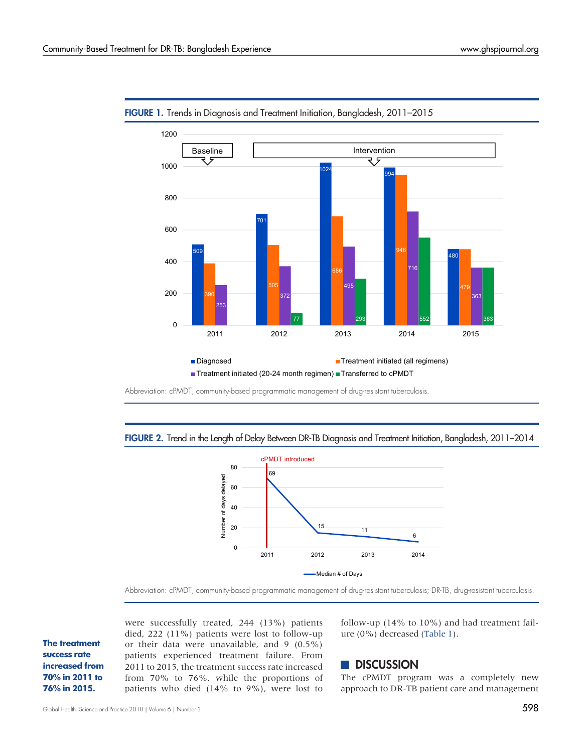

<span id="page-4-0"></span>

Abbreviation: cPMDT, community-based programmatic management of drug-resistant tuberculosis.





Abbreviation: cPMDT, community-based programmatic management of drug-resistant tuberculosis; DR-TB, drug-resistant tuberculosis.

The treatment success rate increased from 70% in 2011 to 76% in 2015.

were successfully treated, 244 (13%) patients died, 222 (11%) patients were lost to follow-up or their data were unavailable, and 9 (0.5%) patients experienced treatment failure. From 2011 to 2015, the treatment success rate increased from 70% to 76%, while the proportions of patients who died (14% to 9%), were lost to follow-up (14% to 10%) and had treatment failure (0%) decreased ([Table 1\)](#page-5-1).

### **DISCUSSION**

The cPMDT program was a completely new approach to DR-TB patient care and management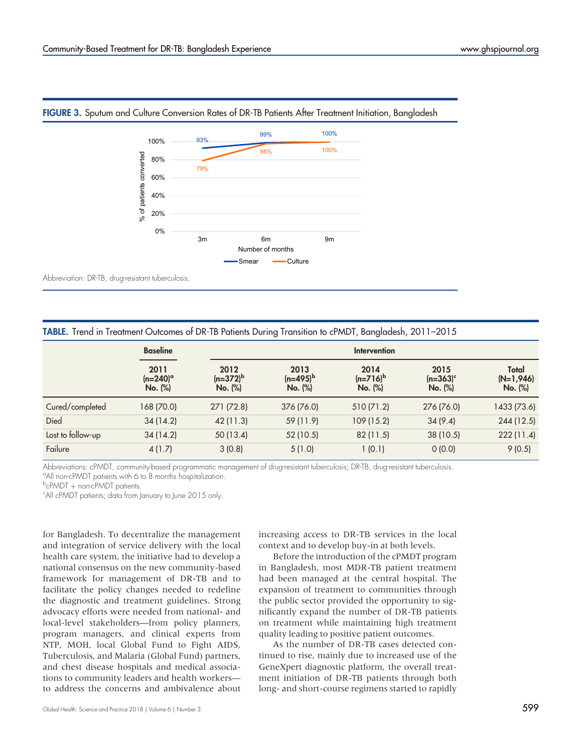

### <span id="page-5-0"></span>FIGURE 3. Sputum and Culture Conversion Rates of DR-TB Patients After Treatment Initiation, Bangladesh

Abbreviation: DR-TB, drug-resistant tuberculosis.

<span id="page-5-1"></span>

| TABLE. Trend in Treatment Outcomes of DR-TB Patients During Transition to cPMDT, Bangladesh, 2011-2015 |  |  |  |
|--------------------------------------------------------------------------------------------------------|--|--|--|
|--------------------------------------------------------------------------------------------------------|--|--|--|

|                   | <b>Baseline</b>                    |                                  | Intervention                     |                                |                                |                                 |  |
|-------------------|------------------------------------|----------------------------------|----------------------------------|--------------------------------|--------------------------------|---------------------------------|--|
|                   | 2011<br>$(n=240)^\circ$<br>No. (%) | 2012<br>$(n=372)^{b}$<br>No. (%) | 2013<br>$(n=495)^{b}$<br>No. (%) | 2014<br>$(n=716)^b$<br>No. (%) | 2015<br>$(n=363)^c$<br>No. (%) | Total<br>$(N=1,946)$<br>No. (%) |  |
| Cured/completed   | 168 (70.0)                         | 271 (72.8)                       | 376 (76.0)                       | 510 (71.2)                     | 276 (76.0)                     | 1433 (73.6)                     |  |
| Died              | 34(14.2)                           | 42 (11.3)                        | 59 (11.9)                        | 109 (15.2)                     | 34(9.4)                        | 244(12.5)                       |  |
| Lost to follow-up | 34(14.2)                           | 50 (13.4)                        | 52 (10.5)                        | 82(11.5)                       | 38 (10.5)                      | 222(11.4)                       |  |
| Failure           | 4(1.7)                             | 3(0.8)                           | 5(1.0)                           | 1(0.1)                         | 0(0.0)                         | 9(0.5)                          |  |

Abbreviations: cPMDT, community-based programmatic management of drug-resistant tuberculosis; DR-TB, drug-resistant tuberculosis. <sup>a</sup> All non-cPMDT patients with 6 to 8 months hospitalization.

<sup>b</sup>cPMDT + non-cPMDT patients.<br><sup>c</sup>All cPMDT patients: data from l

All cPMDT patients; data from January to June 2015 only.

for Bangladesh. To decentralize the management and integration of service delivery with the local health care system, the initiative had to develop a national consensus on the new community-based framework for management of DR-TB and to facilitate the policy changes needed to redefine the diagnostic and treatment guidelines. Strong advocacy efforts were needed from national- and local-level stakeholders—from policy planners, program managers, and clinical experts from NTP, MOH, local Global Fund to Fight AIDS, Tuberculosis, and Malaria (Global Fund) partners, and chest disease hospitals and medical associations to community leaders and health workers to address the concerns and ambivalence about

increasing access to DR-TB services in the local context and to develop buy-in at both levels.

Before the introduction of the cPMDT program in Bangladesh, most MDR-TB patient treatment had been managed at the central hospital. The expansion of treatment to communities through the public sector provided the opportunity to significantly expand the number of DR-TB patients on treatment while maintaining high treatment quality leading to positive patient outcomes.

As the number of DR-TB cases detected continued to rise, mainly due to increased use of the GeneXpert diagnostic platform, the overall treatment initiation of DR-TB patients through both long- and short-course regimens started to rapidly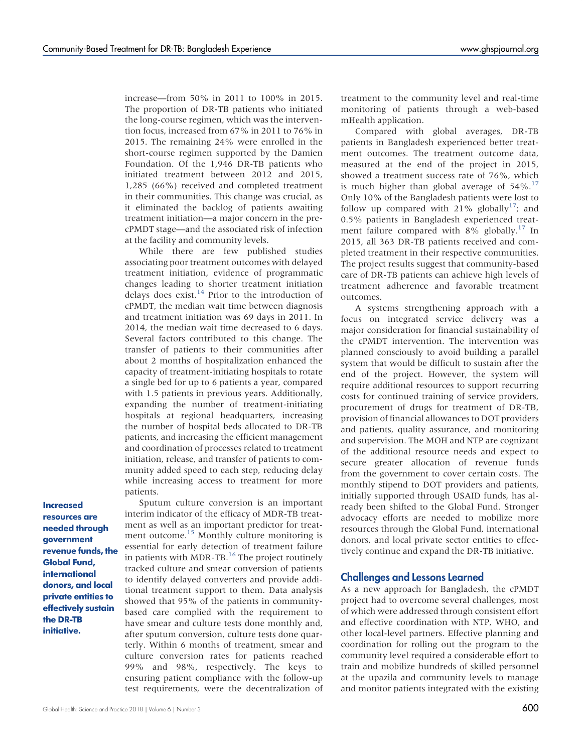increase—from 50% in 2011 to 100% in 2015. The proportion of DR-TB patients who initiated the long-course regimen, which was the intervention focus, increased from 67% in 2011 to 76% in 2015. The remaining 24% were enrolled in the short-course regimen supported by the Damien Foundation. Of the 1,946 DR-TB patients who initiated treatment between 2012 and 2015, 1,285 (66%) received and completed treatment in their communities. This change was crucial, as it eliminated the backlog of patients awaiting treatment initiation—a major concern in the precPMDT stage—and the associated risk of infection at the facility and community levels.

While there are few published studies associating poor treatment outcomes with delayed treatment initiation, evidence of programmatic changes leading to shorter treatment initiation delays does exist.<sup>[14](#page-8-4)</sup> Prior to the introduction of cPMDT, the median wait time between diagnosis and treatment initiation was 69 days in 2011. In 2014, the median wait time decreased to 6 days. Several factors contributed to this change. The transfer of patients to their communities after about 2 months of hospitalization enhanced the capacity of treatment-initiating hospitals to rotate a single bed for up to 6 patients a year, compared with 1.5 patients in previous years. Additionally, expanding the number of treatment-initiating hospitals at regional headquarters, increasing the number of hospital beds allocated to DR-TB patients, and increasing the efficient management and coordination of processes related to treatment initiation, release, and transfer of patients to community added speed to each step, reducing delay while increasing access to treatment for more patients.

Increased resources are needed through government revenue funds, the Global Fund, international donors, and local private entities to effectively sustain the DR-TB initiative.

Sputum culture conversion is an important interim indicator of the efficacy of MDR-TB treatment as well as an important predictor for treat-ment outcome.<sup>[15](#page-8-5)</sup> Monthly culture monitoring is essential for early detection of treatment failure in patients with MDR-TB.<sup>[16](#page-8-6)</sup> The project routinely tracked culture and smear conversion of patients to identify delayed converters and provide additional treatment support to them. Data analysis showed that 95% of the patients in communitybased care complied with the requirement to have smear and culture tests done monthly and, after sputum conversion, culture tests done quarterly. Within 6 months of treatment, smear and culture conversion rates for patients reached 99% and 98%, respectively. The keys to ensuring patient compliance with the follow-up test requirements, were the decentralization of treatment to the community level and real-time monitoring of patients through a web-based mHealth application.

Compared with global averages, DR-TB patients in Bangladesh experienced better treatment outcomes. The treatment outcome data, measured at the end of the project in 2015, showed a treatment success rate of 76%, which is much higher than global average of  $54\%$ .<sup>[17](#page-8-7)</sup> Only 10% of the Bangladesh patients were lost to follow up compared with 21% globally<sup>17</sup>; and 0.5% patients in Bangladesh experienced treat-ment failure compared with 8% globally.<sup>[17](#page-8-7)</sup> In 2015, all 363 DR-TB patients received and completed treatment in their respective communities. The project results suggest that community-based care of DR-TB patients can achieve high levels of treatment adherence and favorable treatment outcomes.

A systems strengthening approach with a focus on integrated service delivery was a major consideration for financial sustainability of the cPMDT intervention. The intervention was planned consciously to avoid building a parallel system that would be difficult to sustain after the end of the project. However, the system will require additional resources to support recurring costs for continued training of service providers, procurement of drugs for treatment of DR-TB, provision of financial allowances to DOT providers and patients, quality assurance, and monitoring and supervision. The MOH and NTP are cognizant of the additional resource needs and expect to secure greater allocation of revenue funds from the government to cover certain costs. The monthly stipend to DOT providers and patients, initially supported through USAID funds, has already been shifted to the Global Fund. Stronger advocacy efforts are needed to mobilize more resources through the Global Fund, international donors, and local private sector entities to effectively continue and expand the DR-TB initiative.

#### Challenges and Lessons Learned

As a new approach for Bangladesh, the cPMDT project had to overcome several challenges, most of which were addressed through consistent effort and effective coordination with NTP, WHO, and other local-level partners. Effective planning and coordination for rolling out the program to the community level required a considerable effort to train and mobilize hundreds of skilled personnel at the upazila and community levels to manage and monitor patients integrated with the existing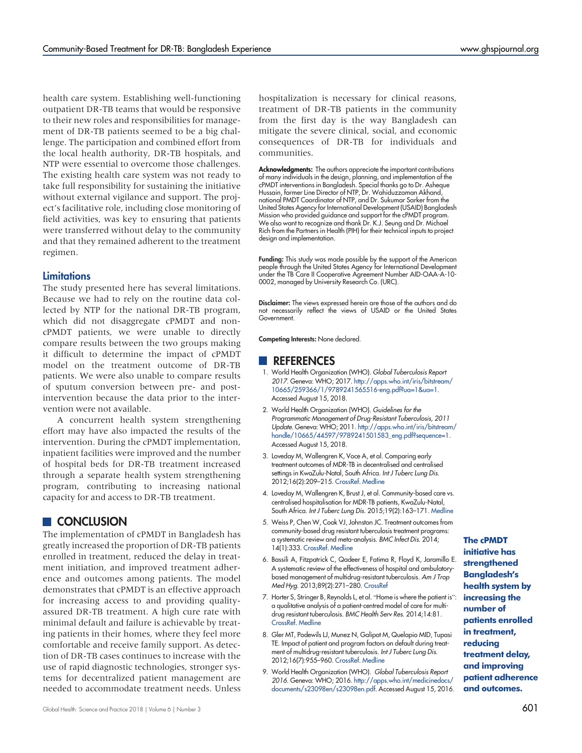health care system. Establishing well-functioning outpatient DR-TB teams that would be responsive to their new roles and responsibilities for management of DR-TB patients seemed to be a big challenge. The participation and combined effort from the local health authority, DR-TB hospitals, and NTP were essential to overcome those challenges. The existing health care system was not ready to take full responsibility for sustaining the initiative without external vigilance and support. The project's facilitative role, including close monitoring of field activities, was key to ensuring that patients were transferred without delay to the community and that they remained adherent to the treatment regimen.

#### **Limitations**

The study presented here has several limitations. Because we had to rely on the routine data collected by NTP for the national DR-TB program, which did not disaggregate cPMDT and noncPMDT patients, we were unable to directly compare results between the two groups making it difficult to determine the impact of cPMDT model on the treatment outcome of DR-TB patients. We were also unable to compare results of sputum conversion between pre- and postintervention because the data prior to the intervention were not available.

A concurrent health system strengthening effort may have also impacted the results of the intervention. During the cPMDT implementation, inpatient facilities were improved and the number of hospital beds for DR-TB treatment increased through a separate health system strengthening program, contributing to increasing national capacity for and access to DR-TB treatment.

### **CONCLUSION**

The implementation of cPMDT in Bangladesh has greatly increased the proportion of DR-TB patients enrolled in treatment, reduced the delay in treatment initiation, and improved treatment adherence and outcomes among patients. The model demonstrates that cPMDT is an effective approach for increasing access to and providing qualityassured DR-TB treatment. A high cure rate with minimal default and failure is achievable by treating patients in their homes, where they feel more comfortable and receive family support. As detection of DR-TB cases continues to increase with the use of rapid diagnostic technologies, stronger systems for decentralized patient management are needed to accommodate treatment needs. Unless hospitalization is necessary for clinical reasons, treatment of DR-TB patients in the community from the first day is the way Bangladesh can mitigate the severe clinical, social, and economic consequences of DR-TB for individuals and communities.

Acknowledgments: The authors appreciate the important contributions of many individuals in the design, planning, and implementation of the cPMDT interventions in Bangladesh. Special thanks go to Dr. Asheque Hussain, former Line Director of NTP, Dr. Wahiduzzaman Akhand, national PMDT Coordinator of NTP, and Dr. Sukumar Sarker from the United States Agency for International Development (USAID) Bangladesh Mission who provided guidance and support for the cPMDT program. We also want to recognize and thank Dr. K.J. Seung and Dr. Michael Rich from the Partners in Health (PIH) for their technical inputs to project design and implementation.

Funding: This study was made possible by the support of the American people through the United States Agency for International Development under the TB Care II Cooperative Agreement Number AID-OAA-A-10- 0002, managed by University Research Co. (URC).

Disclaimer: The views expressed herein are those of the authors and do not necessarily reflect the views of USAID or the United States Government.

Competing Interests: None declared.

#### **REFERENCES**

- <span id="page-7-0"></span>1. World Health Organization (WHO). Global Tuberculosis Report 2017. Geneva: WHO; 2017. [http://apps.who.int/iris/bitstream/](http://apps.who.int/iris/bitstream/10665/259366/1/9789241565516-eng.pdf?ua=1&ua=1) [10665/259366/1/9789241565516-eng.pdf?ua=1&ua=1](http://apps.who.int/iris/bitstream/10665/259366/1/9789241565516-eng.pdf?ua=1&ua=1). Accessed August 15, 2018.
- <span id="page-7-1"></span>2. World Health Organization (WHO). Guidelines for the Programmatic Management of Drug-Resistant Tuberculosis, 2011 Update. Geneva: WHO; 2011. [http://apps.who.int/iris/bitstream/](http://apps.who.int/iris/bitstream/handle/10665/44597/9789241501583_eng.pdf?sequence=1) [handle/10665/44597/9789241501583\\_eng.pdf?sequence=1.](http://apps.who.int/iris/bitstream/handle/10665/44597/9789241501583_eng.pdf?sequence=1) Accessed August 15, 2018.
- <span id="page-7-2"></span>3. Loveday M, Wallengren K, Voce A, et al. Comparing early treatment outcomes of MDR-TB in decentralised and centralised settings in KwaZulu-Natal, South Africa. Int J Tuberc Lung Dis. 2012;16(2):209–215. [CrossRef.](https://doi.org/10.5588/ijtld.11.0401) [Medline](http://www.ncbi.nlm.nih.gov/pubmed/22236922)
- 4. Loveday M, Wallengren K, Brust J, et al. Community-based care vs. centralised hospitalisation for MDR-TB patients, KwaZulu-Natal, South Africa. Int J Tuberc Lung Dis. 2015;19(2):163–171. [Medline](http://www.ncbi.nlm.nih.gov/pubmed/25574914)
- <span id="page-7-6"></span>5. Weiss P, Chen W, Cook VJ, Johnston JC. Treatment outcomes from community-based drug resistant tuberculosis treatment programs: a systematic review and meta-analysis. BMC Infect Dis. 2014; 14(1):333. [CrossRef](https://doi.org/10.1186/1471-2334-14-333). [Medline](http://www.ncbi.nlm.nih.gov/pubmed/24938738)
- <span id="page-7-3"></span>6. Bassili A, Fitzpatrick C, Qadeer E, Fatima R, Floyd K, Jaramillo E. A systematic review of the effectiveness of hospital and ambulatorybased management of multidrug-resistant tuberculosis. Am J Trop Med Hyg. 2013;89(2):271–280. [CrossRef](https://doi.org/10.4269/ajtmh.13-0004)
- <span id="page-7-4"></span>7. Horter S, Stringer B, Reynolds L, et al. "Home is where the patient is": a qualitative analysis of a patient-centred model of care for multidrug resistant tuberculosis. BMC Health Serv Res. 2014;14:81. [CrossRef.](https://doi.org/10.1186/1472-6963-14-81) [Medline](http://www.ncbi.nlm.nih.gov/pubmed/24559177)
- <span id="page-7-5"></span>8. Gler MT, Podewils LJ, Munez N, Galipot M, Quelapio MID, Tupasi TE. Impact of patient and program factors on default during treatment of multidrug-resistant tuberculosis. Int J Tuberc Lung Dis. 2012;16(7):955–960. [CrossRef.](https://doi.org/10.5588/ijtld.11.0502) [Medline](http://www.ncbi.nlm.nih.gov/pubmed/22584124)
- <span id="page-7-7"></span>9. World Health Organization (WHO). Global Tuberculosis Report 2016. Geneva: WHO; 2016. [http://apps.who.int/medicinedocs/](http://apps.who.int/medicinedocs/documents/s23098en/s23098en.pdf) [documents/s23098en/s23098en.pdf.](http://apps.who.int/medicinedocs/documents/s23098en/s23098en.pdf) Accessed August 15, 2016.

### The cPMDT initiative has strengthened Bangladesh's health system by increasing the number of patients enrolled in treatment, reducing treatment delay, and improving patient adherence and outcomes.